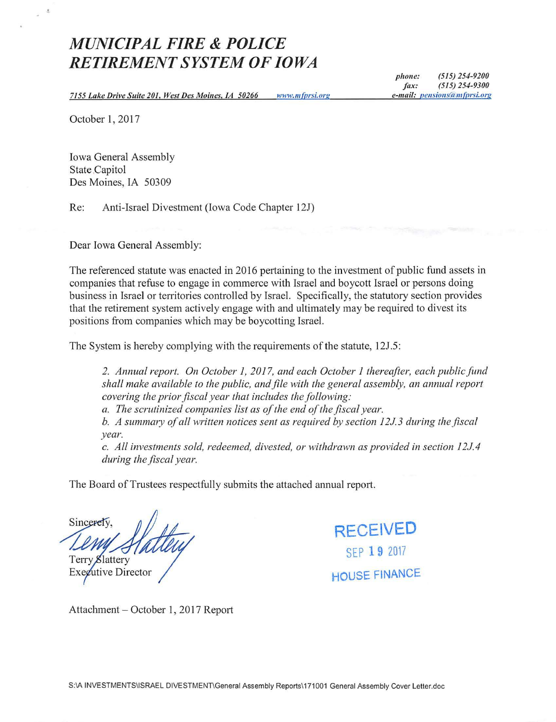## *MUNICIPAL FIRE* **&** *POLICE RETIREMENT SYSTEM OF IOWA*

*phone: (515) 254-9200 fax.· (5 15) 254-9300 e-mail.· pensions(a m(prsi.org* 

*7155 Lake Drive Suite 201, West Des Moines, IA 50266*  www.mfprsi.org

October 1, 2017

 $\Delta$ 

Iowa General Assembly State Capitol Des Moines, IA 50309

Re: Anti-Israel Divestment (Iowa Code Chapter 12J)

Dear Iowa General Assembly:

The referenced statute was enacted in 2016 pertaining to the investment of public fund assets in companies that refuse to engage in commerce with Israel and boycott Israel or persons doing business in Israel or territories controlled by Israel. Specifically, the statutory section provides that the retirement system actively engage with and ultimately may be required to divest its positions from companies which may be boycotting Israel.

The System is hereby complying with the requirements of the statute, 12J.5:

*2. Annual report. On October 1, 2017, and each October 1 thereafter, each public fund shall make available to the public, and file with the general assembly, an annual report covering the prior fiscal year that includes the following.·* 

*a. The scrutinized companies list as of the end of the fiscal year.* 

*b. A summary of all written notices sent as required by section 12J. 3 during the fiscal year.* 

*c. All investments sold, redeemed, divested, or withdrawn as provided in section l 2J.4 during the fiscal year.* 

The Board of Trustees respectfully submits the attached annual report.

Sincerely Terry Slattery utive Director



Attachment - October 1, 2017 Report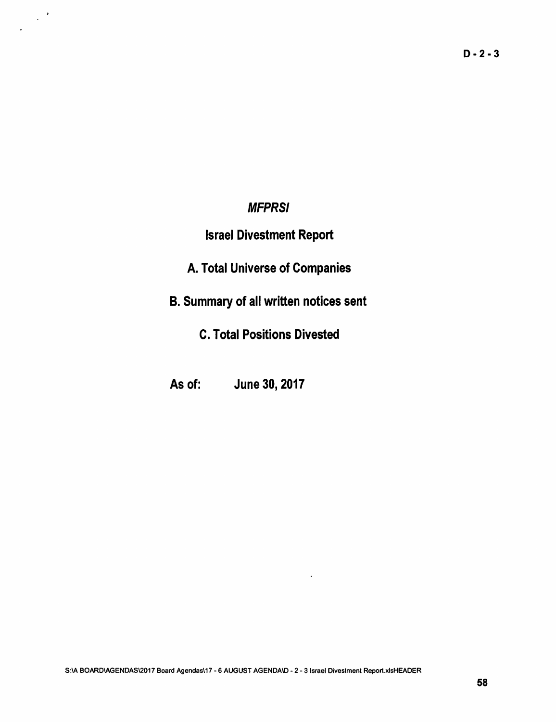### **MFPRSI**

 $\frac{1}{2}$ 

## Israel Divestment Report

- A. Total Universe of Companies
- 8. Summary of all written notices sent
	- C. Total Positions Divested
- As of: June 30, 2017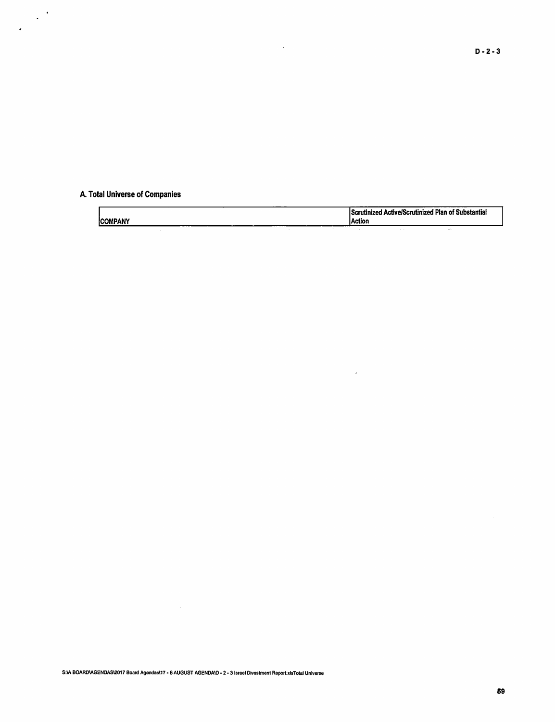#### A. Total Universe of Companies

 $\mathcal{L}$ 

|         |  | <b>Scrutinized Active/Scrutinized Plan of Substantial</b> |      |
|---------|--|-----------------------------------------------------------|------|
| COMPANY |  | lAction                                                   |      |
|         |  |                                                           | $-1$ |

 $\mathcal{L}(\mathcal{A})$  .

 $\sim$ 

 $\mathcal{L}^{\text{max}}_{\text{max}}$  and  $\mathcal{L}^{\text{max}}_{\text{max}}$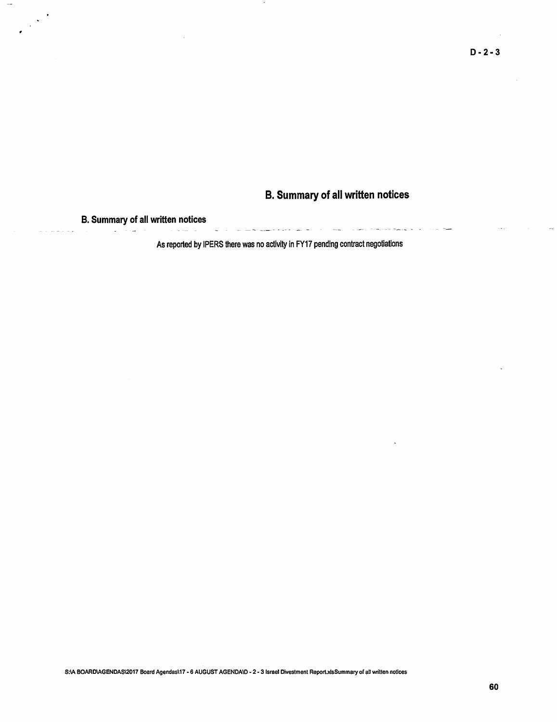### **B. Summary of all written notices**

المست.<br>تستعلم المدورة المرتج المدينة المستحدث بالمصادر المرتبطين المرتبة المستحدة المستحدة المستحدة المستحدة المستحدة

# **B. Summary of all written notices**

 $\frac{1}{2}$  .

As reported by IPERS there was no activity in FY17 pending contract negotiations